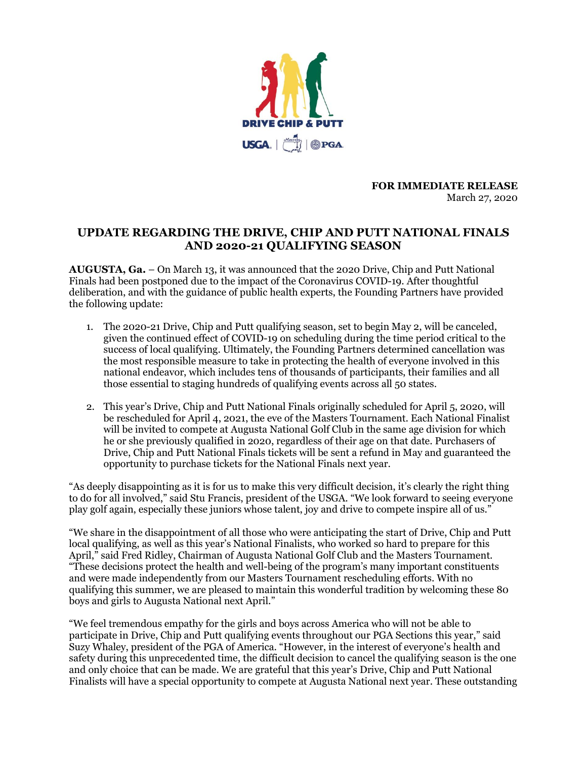

**FOR IMMEDIATE RELEASE** March 27, 2020

# **UPDATE REGARDING THE DRIVE, CHIP AND PUTT NATIONAL FINALS AND 2020-21 QUALIFYING SEASON**

**AUGUSTA, Ga.** – On March 13, it was announced that the 2020 Drive, Chip and Putt National Finals had been postponed due to the impact of the Coronavirus COVID-19. After thoughtful deliberation, and with the guidance of public health experts, the Founding Partners have provided the following update:

- 1. The 2020-21 Drive, Chip and Putt qualifying season, set to begin May 2, will be canceled, given the continued effect of COVID-19 on scheduling during the time period critical to the success of local qualifying. Ultimately, the Founding Partners determined cancellation was the most responsible measure to take in protecting the health of everyone involved in this national endeavor, which includes tens of thousands of participants, their families and all those essential to staging hundreds of qualifying events across all 50 states.
- 2. This year's Drive, Chip and Putt National Finals originally scheduled for April 5, 2020, will be rescheduled for April 4, 2021, the eve of the Masters Tournament. Each National Finalist will be invited to compete at Augusta National Golf Club in the same age division for which he or she previously qualified in 2020, regardless of their age on that date. Purchasers of Drive, Chip and Putt National Finals tickets will be sent a refund in May and guaranteed the opportunity to purchase tickets for the National Finals next year.

"As deeply disappointing as it is for us to make this very difficult decision, it's clearly the right thing to do for all involved," said Stu Francis, president of the USGA. "We look forward to seeing everyone play golf again, especially these juniors whose talent, joy and drive to compete inspire all of us."

"We share in the disappointment of all those who were anticipating the start of Drive, Chip and Putt local qualifying, as well as this year's National Finalists, who worked so hard to prepare for this April," said Fred Ridley, Chairman of Augusta National Golf Club and the Masters Tournament. "These decisions protect the health and well-being of the program's many important constituents and were made independently from our Masters Tournament rescheduling efforts. With no qualifying this summer, we are pleased to maintain this wonderful tradition by welcoming these 80 boys and girls to Augusta National next April."

"We feel tremendous empathy for the girls and boys across America who will not be able to participate in Drive, Chip and Putt qualifying events throughout our PGA Sections this year," said Suzy Whaley, president of the PGA of America. "However, in the interest of everyone's health and safety during this unprecedented time, the difficult decision to cancel the qualifying season is the one and only choice that can be made. We are grateful that this year's Drive, Chip and Putt National Finalists will have a special opportunity to compete at Augusta National next year. These outstanding